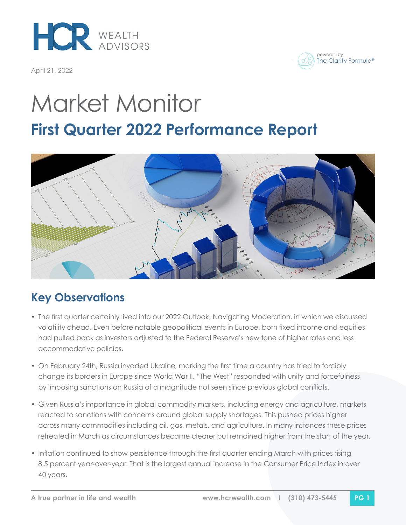

April 21, 2022

powered by The Clarity Formula®

# Market Monitor **First Quarter 2022 Performance Report**



# **Key Observations**

- The first quarter certainly lived into our 2022 Outlook, Navigating Moderation, in which we discussed volatility ahead. Even before notable geopolitical events in Europe, both fixed income and equities had pulled back as investors adjusted to the Federal Reserve's new tone of higher rates and less accommodative policies.
- On February 24th, Russia invaded Ukraine, marking the first time a country has tried to forcibly change its borders in Europe since World War II. "The West" responded with unity and forcefulness by imposing sanctions on Russia of a magnitude not seen since previous global conflicts.
- Given Russia's importance in global commodity markets, including energy and agriculture, markets reacted to sanctions with concerns around global supply shortages. This pushed prices higher across many commodities including oil, gas, metals, and agriculture. In many instances these prices retreated in March as circumstances became clearer but remained higher from the start of the year.
- Inflation continued to show persistence through the first quarter ending March with prices rising 8.5 percent year-over-year. That is the largest annual increase in the Consumer Price Index in over 40 years.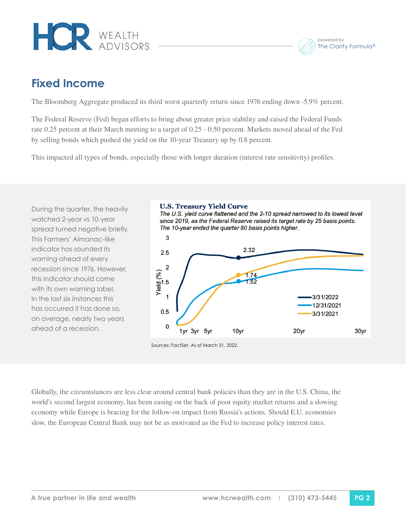

powered by The Clarity Formula®

### **Fixed Income**

The Bloomberg Aggregate produced its third worst quarterly return since 1976 ending down -5.9% percent.

The Federal Reserve (Fed) began efforts to bring about greater price stability and raised the Federal Funds rate 0.25 percent at their March meeting to a target of 0.25 - 0.50 percent. Markets moved ahead of the Fed by selling bonds which pushed the yield on the 10-year Treasury up by 0.8 percent.

This impacted all types of bonds, especially those with longer duration (interest rate sensitivity) profiles.

During the quarter, the heavily watched 2-year vs 10-year spread turned negative briefly. This Farmers' Almanac-like indicator has sounded its warning ahead of every recession since 1976. However, this indicator should come with its own warning label. In the last six instances this has occurred it has done so, on average, nearly two years ahead of a recession.

#### **U.S. Treasury Yield Curve**

The U.S. vield curve flattened and the 2-10 spread narrowed to its lowest level since 2019, as the Federal Reserve raised its target rate by 25 basis points. The 10-year ended the quarter 80 basis points higher.



Sources: FactSet. As of March 31, 2022.

Globally, the circumstances are less clear around central bank policies than they are in the U.S. China, the world's second largest economy, has been easing on the back of poor equity market returns and a slowing economy while Europe is bracing for the follow-on impact from Russia's actions. Should E.U. economies slow, the European Central Bank may not be as motivated as the Fed to increase policy interest rates.